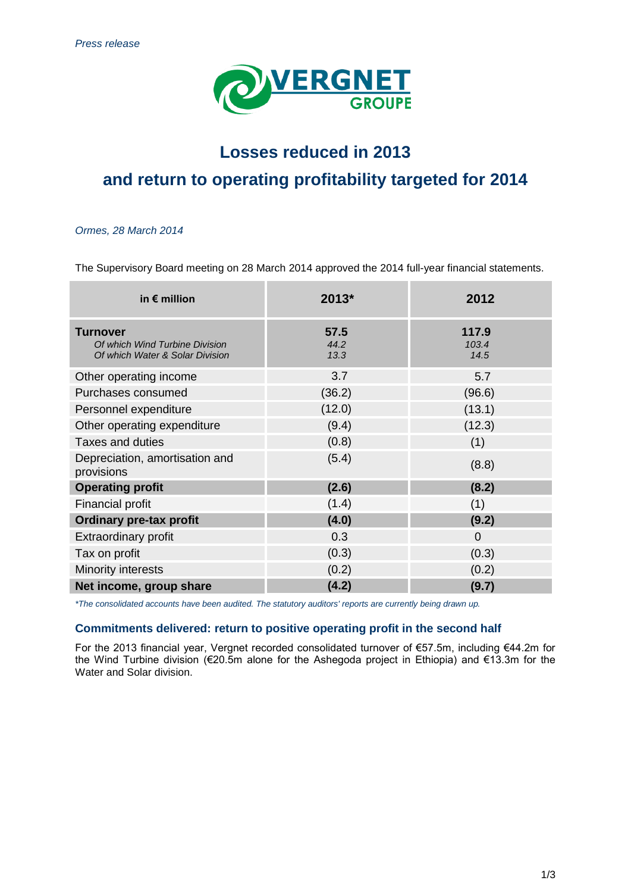

# **Losses reduced in 2013 and return to operating profitability targeted for 2014**

## *Ormes, 28 March 2014*

The Supervisory Board meeting on 28 March 2014 approved the 2014 full-year financial statements.

| in $\epsilon$ million                                                                | $2013*$              | 2012                   |
|--------------------------------------------------------------------------------------|----------------------|------------------------|
| <b>Turnover</b><br>Of which Wind Turbine Division<br>Of which Water & Solar Division | 57.5<br>44.2<br>13.3 | 117.9<br>103.4<br>14.5 |
| Other operating income                                                               | 3.7                  | 5.7                    |
| Purchases consumed                                                                   | (36.2)               | (96.6)                 |
| Personnel expenditure                                                                | (12.0)               | (13.1)                 |
| Other operating expenditure                                                          | (9.4)                | (12.3)                 |
| <b>Taxes and duties</b>                                                              | (0.8)                | (1)                    |
| Depreciation, amortisation and<br>provisions                                         | (5.4)                | (8.8)                  |
| <b>Operating profit</b>                                                              | (2.6)                | (8.2)                  |
| Financial profit                                                                     | (1.4)                | (1)                    |
| <b>Ordinary pre-tax profit</b>                                                       | (4.0)                | (9.2)                  |
| <b>Extraordinary profit</b>                                                          | 0.3                  | $\Omega$               |
| Tax on profit                                                                        | (0.3)                | (0.3)                  |
| Minority interests                                                                   | (0.2)                | (0.2)                  |
| Net income, group share                                                              | (4.2)                | (9.7)                  |

*\*The consolidated accounts have been audited. The statutory auditors' reports are currently being drawn up.*

# **Commitments delivered: return to positive operating profit in the second half**

For the 2013 financial year, Vergnet recorded consolidated turnover of €57.5m, including €44.2m for the Wind Turbine division (€20.5m alone for the Ashegoda project in Ethiopia) and €13.3m for the Water and Solar division.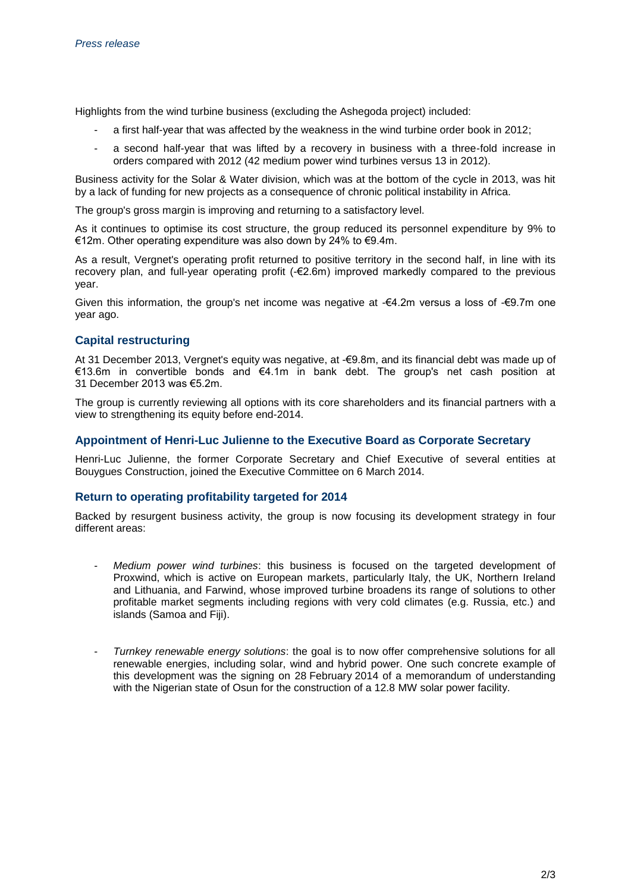Highlights from the wind turbine business (excluding the Ashegoda project) included:

- a first half-year that was affected by the weakness in the wind turbine order book in 2012;
- a second half-year that was lifted by a recovery in business with a three-fold increase in orders compared with 2012 (42 medium power wind turbines versus 13 in 2012).

Business activity for the Solar & Water division, which was at the bottom of the cycle in 2013, was hit by a lack of funding for new projects as a consequence of chronic political instability in Africa.

The group's gross margin is improving and returning to a satisfactory level.

As it continues to optimise its cost structure, the group reduced its personnel expenditure by 9% to €12m. Other operating expenditure was also down by 24% to €9.4m.

As a result, Vergnet's operating profit returned to positive territory in the second half, in line with its recovery plan, and full-year operating profit (-€2.6m) improved markedly compared to the previous year.

Given this information, the group's net income was negative at -€4.2m versus a loss of -€9.7m one year ago.

# **Capital restructuring**

At 31 December 2013, Vergnet's equity was negative, at -€9.8m, and its financial debt was made up of €13.6m in convertible bonds and €4.1m in bank debt. The group's net cash position at 31 December 2013 was €5.2m.

The group is currently reviewing all options with its core shareholders and its financial partners with a view to strengthening its equity before end-2014.

# **Appointment of Henri-Luc Julienne to the Executive Board as Corporate Secretary**

Henri-Luc Julienne, the former Corporate Secretary and Chief Executive of several entities at Bouygues Construction, joined the Executive Committee on 6 March 2014.

# **Return to operating profitability targeted for 2014**

Backed by resurgent business activity, the group is now focusing its development strategy in four different areas:

- *Medium power wind turbines*: this business is focused on the targeted development of Proxwind, which is active on European markets, particularly Italy, the UK, Northern Ireland and Lithuania, and Farwind, whose improved turbine broadens its range of solutions to other profitable market segments including regions with very cold climates (e.g. Russia, etc.) and islands (Samoa and Fiji).
- *Turnkey renewable energy solutions*: the goal is to now offer comprehensive solutions for all renewable energies, including solar, wind and hybrid power. One such concrete example of this development was the signing on 28 February 2014 of a memorandum of understanding with the Nigerian state of Osun for the construction of a 12.8 MW solar power facility.